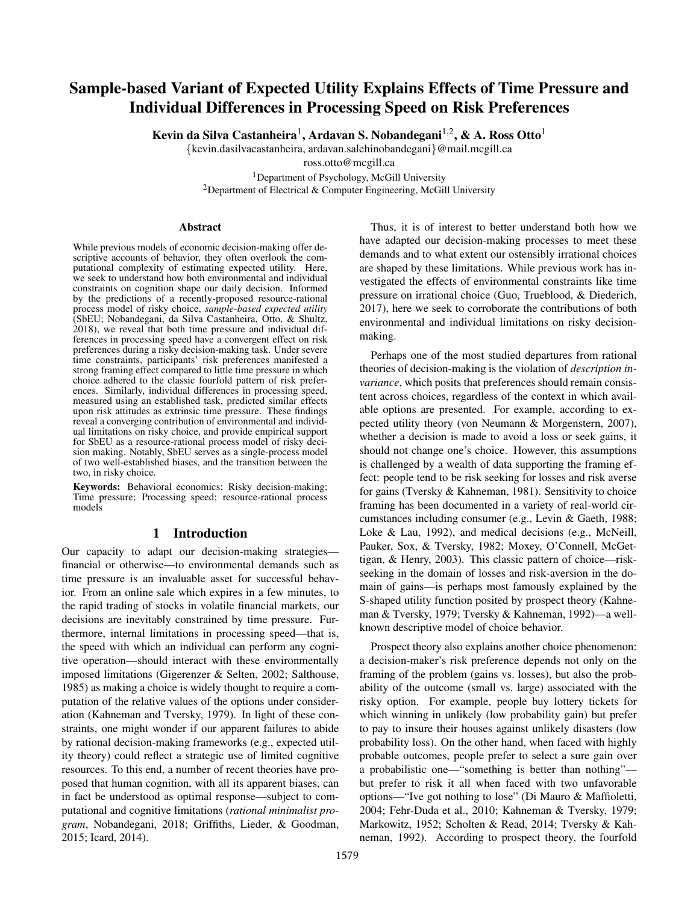# Sample-based Variant of Expected Utility Explains Effects of Time Pressure and Individual Differences in Processing Speed on Risk Preferences

Kevin da Silva Castanheira $^1,$  Ardavan S. Nobandegani $^{1,2},$  & A. Ross Otto $^1$ 

{kevin.dasilvacastanheira, ardavan.salehinobandegani}@mail.mcgill.ca

ross.otto@mcgill.ca

<sup>1</sup>Department of Psychology, McGill University <sup>2</sup>Department of Electrical & Computer Engineering, McGill University

#### Abstract

While previous models of economic decision-making offer descriptive accounts of behavior, they often overlook the computational complexity of estimating expected utility. Here, we seek to understand how both environmental and individual constraints on cognition shape our daily decision. Informed by the predictions of a recently-proposed resource-rational process model of risky choice, *sample-based expected utility* (SbEU; Nobandegani, da Silva Castanheira, Otto, & Shultz, 2018), we reveal that both time pressure and individual differences in processing speed have a convergent effect on risk preferences during a risky decision-making task. Under severe time constraints, participants' risk preferences manifested a strong framing effect compared to little time pressure in which choice adhered to the classic fourfold pattern of risk preferences. Similarly, individual differences in processing speed, measured using an established task, predicted similar effects upon risk attitudes as extrinsic time pressure. These findings reveal a converging contribution of environmental and individual limitations on risky choice, and provide empirical support for SbEU as a resource-rational process model of risky decision making. Notably, SbEU serves as a single-process model of two well-established biases, and the transition between the two, in risky choice.

Keywords: Behavioral economics; Risky decision-making; Time pressure; Processing speed; resource-rational process models

# 1 Introduction

Our capacity to adapt our decision-making strategies financial or otherwise—to environmental demands such as time pressure is an invaluable asset for successful behavior. From an online sale which expires in a few minutes, to the rapid trading of stocks in volatile financial markets, our decisions are inevitably constrained by time pressure. Furthermore, internal limitations in processing speed—that is, the speed with which an individual can perform any cognitive operation—should interact with these environmentally imposed limitations (Gigerenzer & Selten, 2002; Salthouse, 1985) as making a choice is widely thought to require a computation of the relative values of the options under consideration (Kahneman and Tversky, 1979). In light of these constraints, one might wonder if our apparent failures to abide by rational decision-making frameworks (e.g., expected utility theory) could reflect a strategic use of limited cognitive resources. To this end, a number of recent theories have proposed that human cognition, with all its apparent biases, can in fact be understood as optimal response—subject to computational and cognitive limitations (*rational minimalist program*, Nobandegani, 2018; Griffiths, Lieder, & Goodman, 2015; Icard, 2014).

Thus, it is of interest to better understand both how we have adapted our decision-making processes to meet these demands and to what extent our ostensibly irrational choices are shaped by these limitations. While previous work has investigated the effects of environmental constraints like time pressure on irrational choice (Guo, Trueblood, & Diederich, 2017), here we seek to corroborate the contributions of both environmental and individual limitations on risky decisionmaking.

Perhaps one of the most studied departures from rational theories of decision-making is the violation of *description invariance*, which posits that preferences should remain consistent across choices, regardless of the context in which available options are presented. For example, according to expected utility theory (von Neumann & Morgenstern, 2007), whether a decision is made to avoid a loss or seek gains, it should not change one's choice. However, this assumptions is challenged by a wealth of data supporting the framing effect: people tend to be risk seeking for losses and risk averse for gains (Tversky & Kahneman, 1981). Sensitivity to choice framing has been documented in a variety of real-world circumstances including consumer (e.g., Levin & Gaeth, 1988; Loke & Lau, 1992), and medical decisions (e.g., McNeill, Pauker, Sox, & Tversky, 1982; Moxey, O'Connell, McGettigan, & Henry, 2003). This classic pattern of choice—riskseeking in the domain of losses and risk-aversion in the domain of gains—is perhaps most famously explained by the S-shaped utility function posited by prospect theory (Kahneman & Tversky, 1979; Tversky & Kahneman, 1992)—a wellknown descriptive model of choice behavior.

Prospect theory also explains another choice phenomenon: a decision-maker's risk preference depends not only on the framing of the problem (gains vs. losses), but also the probability of the outcome (small vs. large) associated with the risky option. For example, people buy lottery tickets for which winning in unlikely (low probability gain) but prefer to pay to insure their houses against unlikely disasters (low probability loss). On the other hand, when faced with highly probable outcomes, people prefer to select a sure gain over a probabilistic one—"something is better than nothing" but prefer to risk it all when faced with two unfavorable options—"Ive got nothing to lose" (Di Mauro & Maffioletti, 2004; Fehr-Duda et al., 2010; Kahneman & Tversky, 1979; Markowitz, 1952; Scholten & Read, 2014; Tversky & Kahneman, 1992). According to prospect theory, the fourfold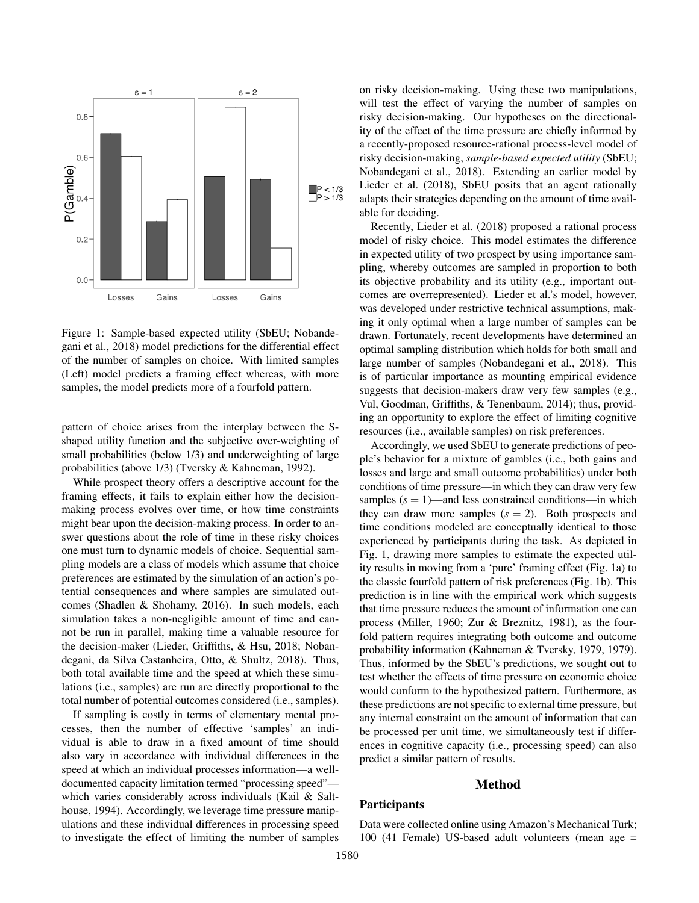

Figure 1: Sample-based expected utility (SbEU; Nobandegani et al., 2018) model predictions for the differential effect of the number of samples on choice. With limited samples (Left) model predicts a framing effect whereas, with more samples, the model predicts more of a fourfold pattern.

pattern of choice arises from the interplay between the Sshaped utility function and the subjective over-weighting of small probabilities (below 1/3) and underweighting of large probabilities (above 1/3) (Tversky & Kahneman, 1992).

While prospect theory offers a descriptive account for the framing effects, it fails to explain either how the decisionmaking process evolves over time, or how time constraints might bear upon the decision-making process. In order to answer questions about the role of time in these risky choices one must turn to dynamic models of choice. Sequential sampling models are a class of models which assume that choice preferences are estimated by the simulation of an action's potential consequences and where samples are simulated outcomes (Shadlen & Shohamy, 2016). In such models, each simulation takes a non-negligible amount of time and cannot be run in parallel, making time a valuable resource for the decision-maker (Lieder, Griffiths, & Hsu, 2018; Nobandegani, da Silva Castanheira, Otto, & Shultz, 2018). Thus, both total available time and the speed at which these simulations (i.e., samples) are run are directly proportional to the total number of potential outcomes considered (i.e., samples).

If sampling is costly in terms of elementary mental processes, then the number of effective 'samples' an individual is able to draw in a fixed amount of time should also vary in accordance with individual differences in the speed at which an individual processes information—a welldocumented capacity limitation termed "processing speed" which varies considerably across individuals (Kail & Salthouse, 1994). Accordingly, we leverage time pressure manipulations and these individual differences in processing speed to investigate the effect of limiting the number of samples on risky decision-making. Using these two manipulations, will test the effect of varying the number of samples on risky decision-making. Our hypotheses on the directionality of the effect of the time pressure are chiefly informed by a recently-proposed resource-rational process-level model of risky decision-making, *sample-based expected utility* (SbEU; Nobandegani et al., 2018). Extending an earlier model by Lieder et al. (2018), SbEU posits that an agent rationally adapts their strategies depending on the amount of time available for deciding.

Recently, Lieder et al. (2018) proposed a rational process model of risky choice. This model estimates the difference in expected utility of two prospect by using importance sampling, whereby outcomes are sampled in proportion to both its objective probability and its utility (e.g., important outcomes are overrepresented). Lieder et al.'s model, however, was developed under restrictive technical assumptions, making it only optimal when a large number of samples can be drawn. Fortunately, recent developments have determined an optimal sampling distribution which holds for both small and large number of samples (Nobandegani et al., 2018). This is of particular importance as mounting empirical evidence suggests that decision-makers draw very few samples (e.g., Vul, Goodman, Griffiths, & Tenenbaum, 2014); thus, providing an opportunity to explore the effect of limiting cognitive resources (i.e., available samples) on risk preferences.

Accordingly, we used SbEU to generate predictions of people's behavior for a mixture of gambles (i.e., both gains and losses and large and small outcome probabilities) under both conditions of time pressure—in which they can draw very few samples  $(s = 1)$ —and less constrained conditions—in which they can draw more samples  $(s = 2)$ . Both prospects and time conditions modeled are conceptually identical to those experienced by participants during the task. As depicted in Fig. 1, drawing more samples to estimate the expected utility results in moving from a 'pure' framing effect (Fig. 1a) to the classic fourfold pattern of risk preferences (Fig. 1b). This prediction is in line with the empirical work which suggests that time pressure reduces the amount of information one can process (Miller, 1960; Zur & Breznitz, 1981), as the fourfold pattern requires integrating both outcome and outcome probability information (Kahneman & Tversky, 1979, 1979). Thus, informed by the SbEU's predictions, we sought out to test whether the effects of time pressure on economic choice would conform to the hypothesized pattern. Furthermore, as these predictions are not specific to external time pressure, but any internal constraint on the amount of information that can be processed per unit time, we simultaneously test if differences in cognitive capacity (i.e., processing speed) can also predict a similar pattern of results.

#### Method

### **Participants**

Data were collected online using Amazon's Mechanical Turk; 100 (41 Female) US-based adult volunteers (mean age =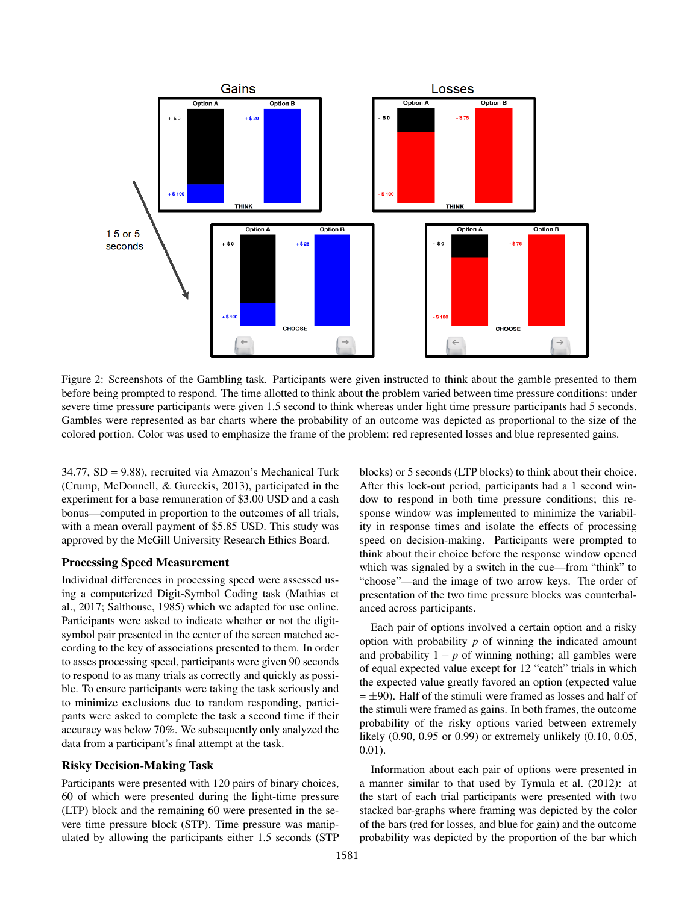

Figure 2: Screenshots of the Gambling task. Participants were given instructed to think about the gamble presented to them before being prompted to respond. The time allotted to think about the problem varied between time pressure conditions: under severe time pressure participants were given 1.5 second to think whereas under light time pressure participants had 5 seconds. Gambles were represented as bar charts where the probability of an outcome was depicted as proportional to the size of the colored portion. Color was used to emphasize the frame of the problem: red represented losses and blue represented gains.

34.77, SD = 9.88), recruited via Amazon's Mechanical Turk (Crump, McDonnell, & Gureckis, 2013), participated in the experiment for a base remuneration of \$3.00 USD and a cash bonus—computed in proportion to the outcomes of all trials, with a mean overall payment of \$5.85 USD. This study was approved by the McGill University Research Ethics Board.

#### Processing Speed Measurement

Individual differences in processing speed were assessed using a computerized Digit-Symbol Coding task (Mathias et al., 2017; Salthouse, 1985) which we adapted for use online. Participants were asked to indicate whether or not the digitsymbol pair presented in the center of the screen matched according to the key of associations presented to them. In order to asses processing speed, participants were given 90 seconds to respond to as many trials as correctly and quickly as possible. To ensure participants were taking the task seriously and to minimize exclusions due to random responding, participants were asked to complete the task a second time if their accuracy was below 70%. We subsequently only analyzed the data from a participant's final attempt at the task.

## Risky Decision-Making Task

Participants were presented with 120 pairs of binary choices, 60 of which were presented during the light-time pressure (LTP) block and the remaining 60 were presented in the severe time pressure block (STP). Time pressure was manipulated by allowing the participants either 1.5 seconds (STP blocks) or 5 seconds (LTP blocks) to think about their choice. After this lock-out period, participants had a 1 second window to respond in both time pressure conditions; this response window was implemented to minimize the variability in response times and isolate the effects of processing speed on decision-making. Participants were prompted to think about their choice before the response window opened which was signaled by a switch in the cue—from "think" to "choose"—and the image of two arrow keys. The order of presentation of the two time pressure blocks was counterbalanced across participants.

Each pair of options involved a certain option and a risky option with probability *p* of winning the indicated amount and probability  $1 - p$  of winning nothing; all gambles were of equal expected value except for 12 "catch" trials in which the expected value greatly favored an option (expected value  $= \pm 90$ ). Half of the stimuli were framed as losses and half of the stimuli were framed as gains. In both frames, the outcome probability of the risky options varied between extremely likely (0.90, 0.95 or 0.99) or extremely unlikely (0.10, 0.05, 0.01).

Information about each pair of options were presented in a manner similar to that used by Tymula et al. (2012): at the start of each trial participants were presented with two stacked bar-graphs where framing was depicted by the color of the bars (red for losses, and blue for gain) and the outcome probability was depicted by the proportion of the bar which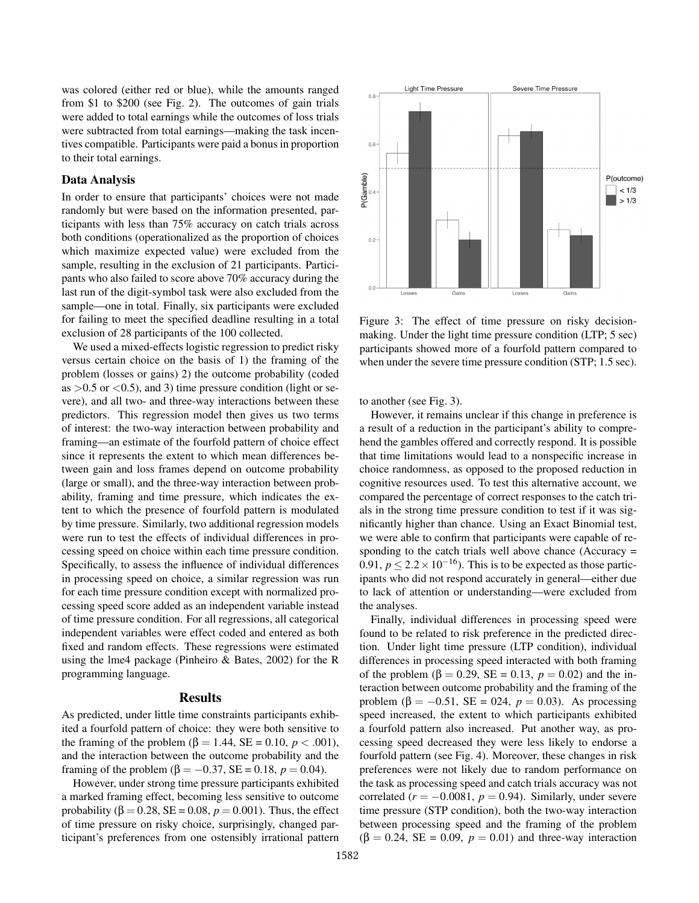was colored (either red or blue), while the amounts ranged from \$1 to \$200 (see Fig. 2). The outcomes of gain trials were added to total earnings while the outcomes of loss trials were subtracted from total earnings—making the task incentives compatible. Participants were paid a bonus in proportion to their total earnings.

#### Data Analysis

In order to ensure that participants' choices were not made randomly but were based on the information presented, participants with less than 75% accuracy on catch trials across both conditions (operationalized as the proportion of choices which maximize expected value) were excluded from the sample, resulting in the exclusion of 21 participants. Participants who also failed to score above 70% accuracy during the last run of the digit-symbol task were also excluded from the sample—one in total. Finally, six participants were excluded for failing to meet the specified deadline resulting in a total exclusion of 28 participants of the 100 collected.

We used a mixed-effects logistic regression to predict risky versus certain choice on the basis of 1) the framing of the problem (losses or gains) 2) the outcome probability (coded as  $>0.5$  or  $< 0.5$ ), and 3) time pressure condition (light or severe), and all two- and three-way interactions between these predictors. This regression model then gives us two terms of interest: the two-way interaction between probability and framing—an estimate of the fourfold pattern of choice effect since it represents the extent to which mean differences between gain and loss frames depend on outcome probability (large or small), and the three-way interaction between probability, framing and time pressure, which indicates the extent to which the presence of fourfold pattern is modulated by time pressure. Similarly, two additional regression models were run to test the effects of individual differences in processing speed on choice within each time pressure condition. Specifically, to assess the influence of individual differences in processing speed on choice, a similar regression was run for each time pressure condition except with normalized processing speed score added as an independent variable instead of time pressure condition. For all regressions, all categorical independent variables were effect coded and entered as both fixed and random effects. These regressions were estimated using the lme4 package (Pinheiro & Bates, 2002) for the R programming language.

## Results

As predicted, under little time constraints participants exhibited a fourfold pattern of choice: they were both sensitive to the framing of the problem (β = 1.44, SE = 0.10, *p* < .001), and the interaction between the outcome probability and the framing of the problem (β =  $-0.37$ , SE = 0.18, *p* = 0.04).

However, under strong time pressure participants exhibited a marked framing effect, becoming less sensitive to outcome probability ( $\beta = 0.28$ ,  $SE = 0.08$ ,  $p = 0.001$ ). Thus, the effect of time pressure on risky choice, surprisingly, changed participant's preferences from one ostensibly irrational pattern



Figure 3: The effect of time pressure on risky decisionmaking. Under the light time pressure condition (LTP; 5 sec) participants showed more of a fourfold pattern compared to when under the severe time pressure condition (STP; 1.5 sec).

to another (see Fig. 3).

However, it remains unclear if this change in preference is a result of a reduction in the participant's ability to comprehend the gambles offered and correctly respond. It is possible that time limitations would lead to a nonspecific increase in choice randomness, as opposed to the proposed reduction in cognitive resources used. To test this alternative account, we compared the percentage of correct responses to the catch trials in the strong time pressure condition to test if it was significantly higher than chance. Using an Exact Binomial test, we were able to confirm that participants were capable of responding to the catch trials well above chance (Accuracy = 0.91,  $p \le 2.2 \times 10^{-16}$ ). This is to be expected as those participants who did not respond accurately in general—either due to lack of attention or understanding—were excluded from the analyses.

Finally, individual differences in processing speed were found to be related to risk preference in the predicted direction. Under light time pressure (LTP condition), individual differences in processing speed interacted with both framing of the problem (β = 0.29, SE = 0.13,  $p = 0.02$ ) and the interaction between outcome probability and the framing of the problem (β =  $-0.51$ , SE = 024, *p* = 0.03). As processing speed increased, the extent to which participants exhibited a fourfold pattern also increased. Put another way, as processing speed decreased they were less likely to endorse a fourfold pattern (see Fig. 4). Moreover, these changes in risk preferences were not likely due to random performance on the task as processing speed and catch trials accuracy was not correlated ( $r = -0.0081$ ,  $p = 0.94$ ). Similarly, under severe time pressure (STP condition), both the two-way interaction between processing speed and the framing of the problem  $(\beta = 0.24, SE = 0.09, p = 0.01)$  and three-way interaction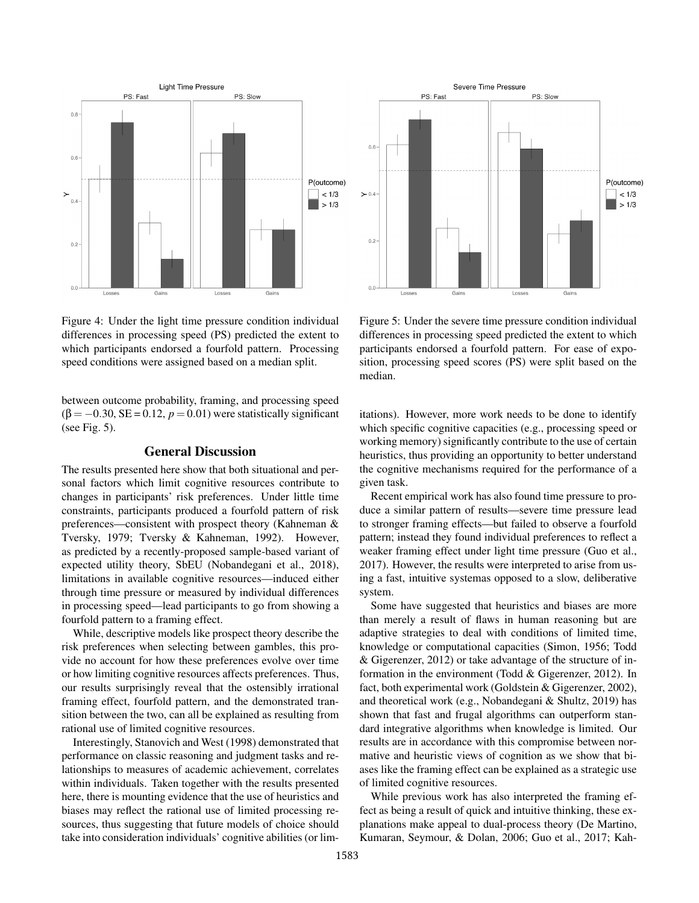

Figure 4: Under the light time pressure condition individual differences in processing speed (PS) predicted the extent to which participants endorsed a fourfold pattern. Processing speed conditions were assigned based on a median split.

between outcome probability, framing, and processing speed  $(\beta = -0.30, SE = 0.12, p = 0.01)$  were statistically significant (see Fig. 5).

## General Discussion

The results presented here show that both situational and personal factors which limit cognitive resources contribute to changes in participants' risk preferences. Under little time constraints, participants produced a fourfold pattern of risk preferences—consistent with prospect theory (Kahneman & Tversky, 1979; Tversky & Kahneman, 1992). However, as predicted by a recently-proposed sample-based variant of expected utility theory, SbEU (Nobandegani et al., 2018), limitations in available cognitive resources—induced either through time pressure or measured by individual differences in processing speed—lead participants to go from showing a fourfold pattern to a framing effect.

While, descriptive models like prospect theory describe the risk preferences when selecting between gambles, this provide no account for how these preferences evolve over time or how limiting cognitive resources affects preferences. Thus, our results surprisingly reveal that the ostensibly irrational framing effect, fourfold pattern, and the demonstrated transition between the two, can all be explained as resulting from rational use of limited cognitive resources.

Interestingly, Stanovich and West (1998) demonstrated that performance on classic reasoning and judgment tasks and relationships to measures of academic achievement, correlates within individuals. Taken together with the results presented here, there is mounting evidence that the use of heuristics and biases may reflect the rational use of limited processing resources, thus suggesting that future models of choice should take into consideration individuals' cognitive abilities (or lim-



Figure 5: Under the severe time pressure condition individual differences in processing speed predicted the extent to which participants endorsed a fourfold pattern. For ease of exposition, processing speed scores (PS) were split based on the median.

itations). However, more work needs to be done to identify which specific cognitive capacities (e.g., processing speed or working memory) significantly contribute to the use of certain heuristics, thus providing an opportunity to better understand the cognitive mechanisms required for the performance of a given task.

Recent empirical work has also found time pressure to produce a similar pattern of results—severe time pressure lead to stronger framing effects—but failed to observe a fourfold pattern; instead they found individual preferences to reflect a weaker framing effect under light time pressure (Guo et al., 2017). However, the results were interpreted to arise from using a fast, intuitive systemas opposed to a slow, deliberative system.

Some have suggested that heuristics and biases are more than merely a result of flaws in human reasoning but are adaptive strategies to deal with conditions of limited time, knowledge or computational capacities (Simon, 1956; Todd & Gigerenzer, 2012) or take advantage of the structure of information in the environment (Todd & Gigerenzer, 2012). In fact, both experimental work (Goldstein & Gigerenzer, 2002), and theoretical work (e.g., Nobandegani & Shultz, 2019) has shown that fast and frugal algorithms can outperform standard integrative algorithms when knowledge is limited. Our results are in accordance with this compromise between normative and heuristic views of cognition as we show that biases like the framing effect can be explained as a strategic use of limited cognitive resources.

While previous work has also interpreted the framing effect as being a result of quick and intuitive thinking, these explanations make appeal to dual-process theory (De Martino, Kumaran, Seymour, & Dolan, 2006; Guo et al., 2017; Kah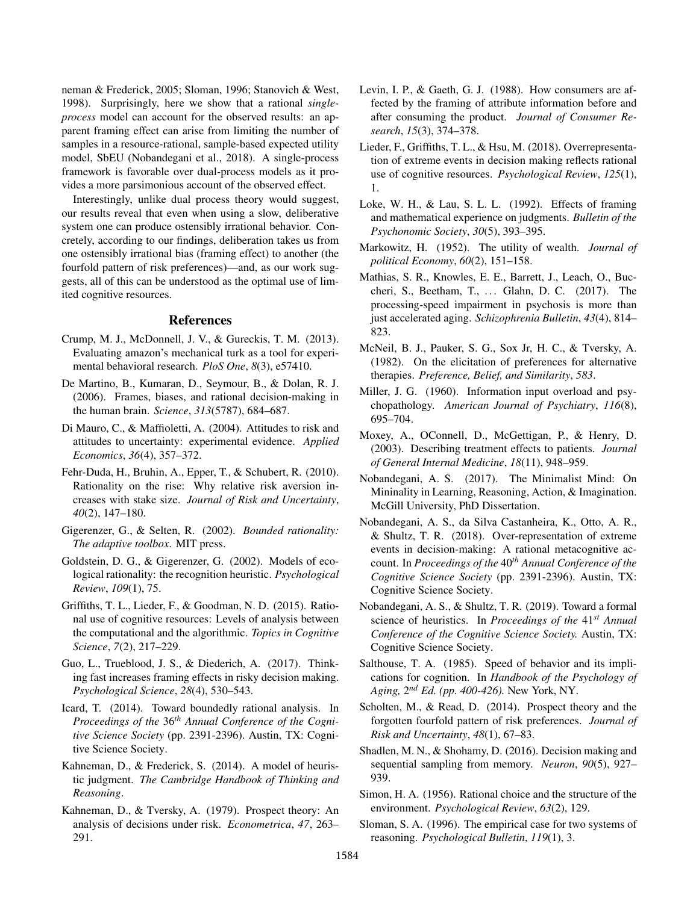neman & Frederick, 2005; Sloman, 1996; Stanovich & West, 1998). Surprisingly, here we show that a rational *singleprocess* model can account for the observed results: an apparent framing effect can arise from limiting the number of samples in a resource-rational, sample-based expected utility model, SbEU (Nobandegani et al., 2018). A single-process framework is favorable over dual-process models as it provides a more parsimonious account of the observed effect.

Interestingly, unlike dual process theory would suggest, our results reveal that even when using a slow, deliberative system one can produce ostensibly irrational behavior. Concretely, according to our findings, deliberation takes us from one ostensibly irrational bias (framing effect) to another (the fourfold pattern of risk preferences)—and, as our work suggests, all of this can be understood as the optimal use of limited cognitive resources.

#### References

- Crump, M. J., McDonnell, J. V., & Gureckis, T. M. (2013). Evaluating amazon's mechanical turk as a tool for experimental behavioral research. *PloS One*, *8*(3), e57410.
- De Martino, B., Kumaran, D., Seymour, B., & Dolan, R. J. (2006). Frames, biases, and rational decision-making in the human brain. *Science*, *313*(5787), 684–687.
- Di Mauro, C., & Maffioletti, A. (2004). Attitudes to risk and attitudes to uncertainty: experimental evidence. *Applied Economics*, *36*(4), 357–372.
- Fehr-Duda, H., Bruhin, A., Epper, T., & Schubert, R. (2010). Rationality on the rise: Why relative risk aversion increases with stake size. *Journal of Risk and Uncertainty*, *40*(2), 147–180.
- Gigerenzer, G., & Selten, R. (2002). *Bounded rationality: The adaptive toolbox*. MIT press.
- Goldstein, D. G., & Gigerenzer, G. (2002). Models of ecological rationality: the recognition heuristic. *Psychological Review*, *109*(1), 75.
- Griffiths, T. L., Lieder, F., & Goodman, N. D. (2015). Rational use of cognitive resources: Levels of analysis between the computational and the algorithmic. *Topics in Cognitive Science*, *7*(2), 217–229.
- Guo, L., Trueblood, J. S., & Diederich, A. (2017). Thinking fast increases framing effects in risky decision making. *Psychological Science*, *28*(4), 530–543.
- Icard, T. (2014). Toward boundedly rational analysis. In *Proceedings of the* 36*th Annual Conference of the Cognitive Science Society* (pp. 2391-2396). Austin, TX: Cognitive Science Society.
- Kahneman, D., & Frederick, S. (2014). A model of heuristic judgment. *The Cambridge Handbook of Thinking and Reasoning*.
- Kahneman, D., & Tversky, A. (1979). Prospect theory: An analysis of decisions under risk. *Econometrica*, *47*, 263– 291.
- Levin, I. P., & Gaeth, G. J. (1988). How consumers are affected by the framing of attribute information before and after consuming the product. *Journal of Consumer Research*, *15*(3), 374–378.
- Lieder, F., Griffiths, T. L., & Hsu, M. (2018). Overrepresentation of extreme events in decision making reflects rational use of cognitive resources. *Psychological Review*, *125*(1), 1.
- Loke, W. H., & Lau, S. L. L. (1992). Effects of framing and mathematical experience on judgments. *Bulletin of the Psychonomic Society*, *30*(5), 393–395.
- Markowitz, H. (1952). The utility of wealth. *Journal of political Economy*, *60*(2), 151–158.
- Mathias, S. R., Knowles, E. E., Barrett, J., Leach, O., Buccheri, S., Beetham, T., . . . Glahn, D. C. (2017). The processing-speed impairment in psychosis is more than just accelerated aging. *Schizophrenia Bulletin*, *43*(4), 814– 823.
- McNeil, B. J., Pauker, S. G., Sox Jr, H. C., & Tversky, A. (1982). On the elicitation of preferences for alternative therapies. *Preference, Belief, and Similarity*, *583*.
- Miller, J. G. (1960). Information input overload and psychopathology. *American Journal of Psychiatry*, *116*(8), 695–704.
- Moxey, A., OConnell, D., McGettigan, P., & Henry, D. (2003). Describing treatment effects to patients. *Journal of General Internal Medicine*, *18*(11), 948–959.
- Nobandegani, A. S. (2017). The Minimalist Mind: On Mininality in Learning, Reasoning, Action, & Imagination. McGill University, PhD Dissertation.
- Nobandegani, A. S., da Silva Castanheira, K., Otto, A. R., & Shultz, T. R. (2018). Over-representation of extreme events in decision-making: A rational metacognitive account. In *Proceedings of the* 40*th Annual Conference of the Cognitive Science Society* (pp. 2391-2396). Austin, TX: Cognitive Science Society.
- Nobandegani, A. S., & Shultz, T. R. (2019). Toward a formal science of heuristics. In *Proceedings of the* 41*st Annual Conference of the Cognitive Science Society.* Austin, TX: Cognitive Science Society.
- Salthouse, T. A. (1985). Speed of behavior and its implications for cognition. In *Handbook of the Psychology of Aging,* 2 *nd Ed. (pp. 400-426).* New York, NY.
- Scholten, M., & Read, D. (2014). Prospect theory and the forgotten fourfold pattern of risk preferences. *Journal of Risk and Uncertainty*, *48*(1), 67–83.
- Shadlen, M. N., & Shohamy, D. (2016). Decision making and sequential sampling from memory. *Neuron*, *90*(5), 927– 939.
- Simon, H. A. (1956). Rational choice and the structure of the environment. *Psychological Review*, *63*(2), 129.
- Sloman, S. A. (1996). The empirical case for two systems of reasoning. *Psychological Bulletin*, *119*(1), 3.